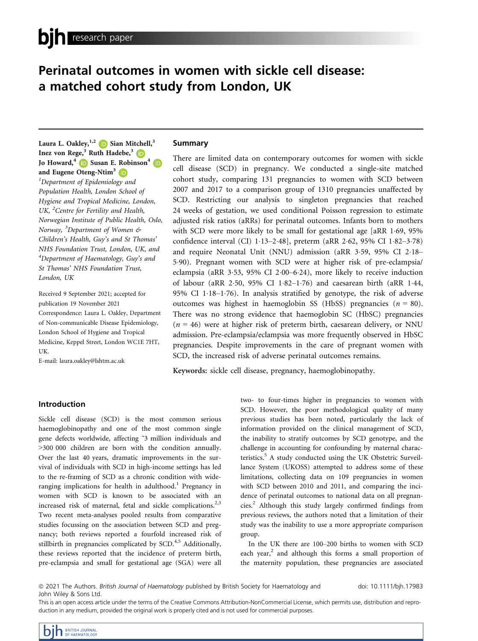# Perinatal outcomes in women with sickle cell disease: a matched cohort study from London, UK

Laura L. Oakley,  $^{1,2}$  (D Sian Mitchell,<sup>3</sup> Inez von Rege,<sup>[3](https://orcid.org/0000-0003-4020-8933)</sup> Ruth Hadebe,<sup>3</sup> D Jo Howard,<sup>[4](https://orcid.org/0000-0001-5279-5536)</sup> D Susan E. Robinson<sup>4</sup> D and Eugene Oteng-Ntim<sup>[3](https://orcid.org/0000-0001-8867-2909)</sup> iD <sup>1</sup>Department of Epidemiology and Population Health, London School of Hygiene and Tropical Medicine, London, UK, <sup>2</sup> Centre for Fertility and Health, Norwegian Institute of Public Health, Oslo, Norway, <sup>3</sup>Department of Women & Children's Health, Guy's and St Thomas' NHS Foundation Trust, London, UK, and  $^4$ Department of Haematology, Guy's and St Thomas' NHS Foundation Trust, London, UK

Received 9 September 2021; accepted for publication 19 November 2021 Correspondence: Laura L. Oakley, Department of Non-communicable Disease Epidemiology, London School of Hygiene and Tropical Medicine, Keppel Street, London WC1E 7HT, UK.

E-mail: [laura.oakley@lshtm.ac.uk](mailto:)

## Summary

There are limited data on contemporary outcomes for women with sickle cell disease (SCD) in pregnancy. We conducted a single-site matched cohort study, comparing 131 pregnancies to women with SCD between 2007 and 2017 to a comparison group of 1310 pregnancies unaffected by SCD. Restricting our analysis to singleton pregnancies that reached 24 weeks of gestation, we used conditional Poisson regression to estimate adjusted risk ratios (aRRs) for perinatal outcomes. Infants born to mothers with SCD were more likely to be small for gestational age [aRR 1.69, 95%] confidence interval (CI) 1.13–2.48], preterm (aRR 2.62, 95% CI 1.82–3.78) and require Neonatal Unit (NNU) admission (aRR 359, 95% CI 218– 590). Pregnant women with SCD were at higher risk of pre-eclampsia/ eclampsia (aRR 3.53, 95% CI 2.00–6.24), more likely to receive induction of labour (aRR 2.50, 95% CI 1.82-1.76) and caesarean birth (aRR 1.44, 95% CI 118–176). In analysis stratified by genotype, the risk of adverse outcomes was highest in haemoglobin SS (HbSS) pregnancies ( $n = 80$ ). There was no strong evidence that haemoglobin SC (HbSC) pregnancies  $(n = 46)$  were at higher risk of preterm birth, caesarean delivery, or NNU admission. Pre-eclampsia/eclampsia was more frequently observed in HbSC pregnancies. Despite improvements in the care of pregnant women with SCD, the increased risk of adverse perinatal outcomes remains.

Keywords: sickle cell disease, pregnancy, haemoglobinopathy.

# Introduction

Sickle cell disease (SCD) is the most common serious haemoglobinopathy and one of the most common single gene defects worldwide, affecting ˜3 million individuals and >300 000 children are born with the condition annually. Over the last 40 years, dramatic improvements in the survival of individuals with SCD in high-income settings has led to the re-framing of SCD as a chronic condition with wideranging implications for health in adulthood.<sup>1</sup> Pregnancy in women with SCD is known to be associated with an increased risk of maternal, fetal and sickle complications.<sup>2,3</sup> Two recent meta-analyses pooled results from comparative studies focussing on the association between SCD and pregnancy; both reviews reported a fourfold increased risk of stillbirth in pregnancies complicated by  $SCD<sup>4,5</sup>$  Additionally, these reviews reported that the incidence of preterm birth, pre-eclampsia and small for gestational age (SGA) were all two- to four-times higher in pregnancies to women with SCD. However, the poor methodological quality of many previous studies has been noted, particularly the lack of information provided on the clinical management of SCD, the inability to stratify outcomes by SCD genotype, and the challenge in accounting for confounding by maternal characteristics.<sup>5</sup> A study conducted using the UK Obstetric Surveillance System (UKOSS) attempted to address some of these limitations, collecting data on 109 pregnancies in women with SCD between 2010 and 2011, and comparing the incidence of perinatal outcomes to national data on all pregnancies.2 Although this study largely confirmed findings from previous reviews, the authors noted that a limitation of their study was the inability to use a more appropriate comparison group.

In the UK there are 100–200 births to women with SCD each year, $<sup>2</sup>$  and although this forms a small proportion of</sup> the maternity population, these pregnancies are associated

This is an open access article under the terms of the [Creative Commons Attribution-NonCommercial](http://creativecommons.org/licenses/by-nc/4.0/) License, which permits use, distribution and reproduction in any medium, provided the original work is properly cited and is not used for commercial purposes.

<sup>ª</sup> 2021 The Authors. British Journal of Haematology published by British Society for Haematology and John Wiley & Sons Ltd.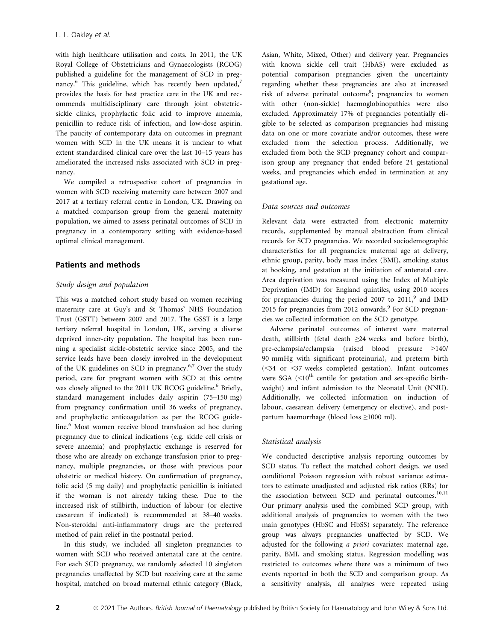with high healthcare utilisation and costs. In 2011, the UK Royal College of Obstetricians and Gynaecologists (RCOG) published a guideline for the management of SCD in pregnancy.<sup>6</sup> This guideline, which has recently been updated,<sup>7</sup> provides the basis for best practice care in the UK and recommends multidisciplinary care through joint obstetricsickle clinics, prophylactic folic acid to improve anaemia, penicillin to reduce risk of infection, and low-dose aspirin. The paucity of contemporary data on outcomes in pregnant women with SCD in the UK means it is unclear to what extent standardised clinical care over the last 10–15 years has ameliorated the increased risks associated with SCD in pregnancy.

We compiled a retrospective cohort of pregnancies in women with SCD receiving maternity care between 2007 and 2017 at a tertiary referral centre in London, UK. Drawing on a matched comparison group from the general maternity population, we aimed to assess perinatal outcomes of SCD in pregnancy in a contemporary setting with evidence-based optimal clinical management.

## Patients and methods

## Study design and population

This was a matched cohort study based on women receiving maternity care at Guy's and St Thomas' NHS Foundation Trust (GSTT) between 2007 and 2017. The GSST is a large tertiary referral hospital in London, UK, serving a diverse deprived inner-city population. The hospital has been running a specialist sickle-obstetric service since 2005, and the service leads have been closely involved in the development of the UK guidelines on SCD in pregnancy.<sup>6,7</sup> Over the study period, care for pregnant women with SCD at this centre was closely aligned to the 2011 UK RCOG guideline.<sup>6</sup> Briefly, standard management includes daily aspirin (75–150 mg) from pregnancy confirmation until 36 weeks of pregnancy, and prophylactic anticoagulation as per the RCOG guideline.<sup>6</sup> Most women receive blood transfusion ad hoc during pregnancy due to clinical indications (e.g. sickle cell crisis or severe anaemia) and prophylactic exchange is reserved for those who are already on exchange transfusion prior to pregnancy, multiple pregnancies, or those with previous poor obstetric or medical history. On confirmation of pregnancy, folic acid (5 mg daily) and prophylactic penicillin is initiated if the woman is not already taking these. Due to the increased risk of stillbirth, induction of labour (or elective caesarean if indicated) is recommended at 38–40 weeks. Non-steroidal anti-inflammatory drugs are the preferred method of pain relief in the postnatal period.

In this study, we included all singleton pregnancies to women with SCD who received antenatal care at the centre. For each SCD pregnancy, we randomly selected 10 singleton pregnancies unaffected by SCD but receiving care at the same hospital, matched on broad maternal ethnic category (Black, Asian, White, Mixed, Other) and delivery year. Pregnancies with known sickle cell trait (HbAS) were excluded as potential comparison pregnancies given the uncertainty regarding whether these pregnancies are also at increased risk of adverse perinatal outcome<sup>8</sup>; pregnancies to women with other (non-sickle) haemoglobinopathies were also excluded. Approximately 17% of pregnancies potentially eligible to be selected as comparison pregnancies had missing data on one or more covariate and/or outcomes, these were excluded from the selection process. Additionally, we excluded from both the SCD pregnancy cohort and comparison group any pregnancy that ended before 24 gestational weeks, and pregnancies which ended in termination at any gestational age.

## Data sources and outcomes

Relevant data were extracted from electronic maternity records, supplemented by manual abstraction from clinical records for SCD pregnancies. We recorded sociodemographic characteristics for all pregnancies: maternal age at delivery, ethnic group, parity, body mass index (BMI), smoking status at booking, and gestation at the initiation of antenatal care. Area deprivation was measured using the Index of Multiple Deprivation (IMD) for England quintiles, using 2010 scores for pregnancies during the period 2007 to  $2011$ , and IMD 2015 for pregnancies from 2012 onwards.<sup>9</sup> For SCD pregnancies we collected information on the SCD genotype.

Adverse perinatal outcomes of interest were maternal death, stillbirth (fetal death ≥24 weeks and before birth), pre-eclampsia/eclampsia (raised blood pressure >140/ 90 mmHg with significant proteinuria), and preterm birth (<34 or <37 weeks completed gestation). Infant outcomes were SGA  $(<10<sup>th</sup>$  centile for gestation and sex-specific birthweight) and infant admission to the Neonatal Unit (NNU). Additionally, we collected information on induction of labour, caesarean delivery (emergency or elective), and postpartum haemorrhage (blood loss ≥1000 ml).

## Statistical analysis

We conducted descriptive analysis reporting outcomes by SCD status. To reflect the matched cohort design, we used conditional Poisson regression with robust variance estimators to estimate unadjusted and adjusted risk ratios (RRs) for the association between SCD and perinatal outcomes.<sup>10,11</sup> Our primary analysis used the combined SCD group, with additional analysis of pregnancies to women with the two main genotypes (HbSC and HbSS) separately. The reference group was always pregnancies unaffected by SCD. We adjusted for the following a priori covariates: maternal age, parity, BMI, and smoking status. Regression modelling was restricted to outcomes where there was a minimum of two events reported in both the SCD and comparison group. As a sensitivity analysis, all analyses were repeated using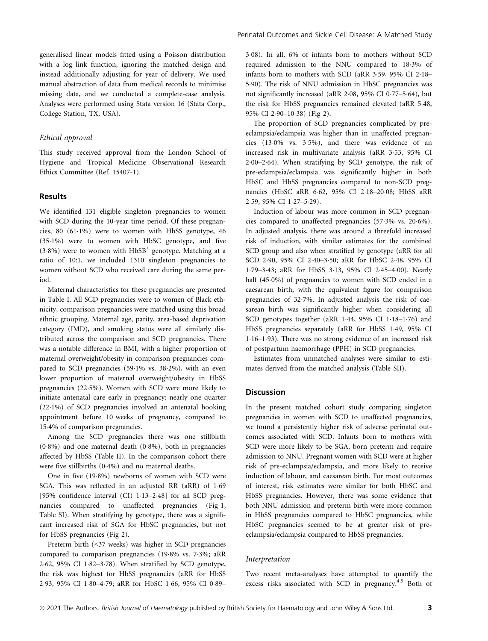generalised linear models fitted using a Poisson distribution with a log link function, ignoring the matched design and instead additionally adjusting for year of delivery. We used manual abstraction of data from medical records to minimise missing data, and we conducted a complete-case analysis. Analyses were performed using Stata version 16 (Stata Corp., College Station, TX, USA).

#### Ethical approval

This study received approval from the London School of Hygiene and Tropical Medicine Observational Research Ethics Committee (Ref. 15407-1).

#### Results

We identified 131 eligible singleton pregnancies to women with SCD during the 10-year time period. Of these pregnancies,  $80$   $(61.1\%)$  were to women with HbSS genotype,  $46$ (351%) were to women with HbSC genotype, and five  $(3.8\%)$  were to women with  $HbSB<sup>+</sup>$  genotype. Matching at a ratio of 10:1, we included 1310 singleton pregnancies to women without SCD who received care during the same period.

Maternal characteristics for these pregnancies are presented in Table I. All SCD pregnancies were to women of Black ethnicity, comparison pregnancies were matched using this broad ethnic grouping. Maternal age, parity, area-based deprivation category (IMD), and smoking status were all similarly distributed across the comparison and SCD pregnancies. There was a notable difference in BMI, with a higher proportion of maternal overweight/obesity in comparison pregnancies compared to SCD pregnancies (59.1% vs. 38.2%), with an even lower proportion of maternal overweight/obesity in HbSS pregnancies (225%). Women with SCD were more likely to initiate antenatal care early in pregnancy: nearly one quarter (221%) of SCD pregnancies involved an antenatal booking appointment before 10 weeks of pregnancy, compared to 154% of comparison pregnancies.

Among the SCD pregnancies there was one stillbirth  $(0.8\%)$  and one maternal death  $(0.8\%)$ , both in pregnancies affected by HbSS (Table II). In the comparison cohort there were five stillbirths (04%) and no maternal deaths.

One in five (198%) newborns of women with SCD were SGA. This was reflected in an adjusted RR (aRR) of 1.69 [95% confidence interval (CI)  $1.13-2.48$ ] for all SCD pregnancies compared to unaffected pregnancies (Fig 1, Table SI). When stratifying by genotype, there was a significant increased risk of SGA for HbSC pregnancies, but not for HbSS pregnancies (Fig 2).

Preterm birth (<37 weeks) was higher in SCD pregnancies compared to comparison pregnancies (198% vs. 73%; aRR 2.62, 95% CI 1.82-3.78). When stratified by SCD genotype, the risk was highest for HbSS pregnancies (aRR for HbSS 2.93, 95% CI 1.80-4.79; aRR for HbSC 1.66, 95% CI 0.89308). In all, 6% of infants born to mothers without SCD required admission to the NNU compared to 183% of infants born to mothers with SCD (aRR 3.59, 95% CI 2.18– 590). The risk of NNU admission in HbSC pregnancies was not significantly increased (aRR 2.08, 95% CI 0.77–5.64), but the risk for HbSS pregnancies remained elevated (aRR 5.48, 95% CI 290–1038) (Fig 2).

The proportion of SCD pregnancies complicated by preeclampsia/eclampsia was higher than in unaffected pregnancies (130% vs. 35%), and there was evidence of an increased risk in multivariate analysis (aRR 353, 95% CI  $2.00-2.64$ ). When stratifying by SCD genotype, the risk of pre-eclampsia/eclampsia was significantly higher in both HbSC and HbSS pregnancies compared to non-SCD pregnancies (HbSC aRR 662, 95% CI 218–2008; HbSS aRR 2.59, 95% CI 1.27-5.29).

Induction of labour was more common in SCD pregnancies compared to unaffected pregnancies (573% vs. 206%). In adjusted analysis, there was around a threefold increased risk of induction, with similar estimates for the combined SCD group and also when stratified by genotype (aRR for all SCD 290, 95% CI 240–350; aRR for HbSC 248, 95% CI 179–343; aRR for HbSS 313, 95% CI 245–400). Nearly half (45.0%) of pregnancies to women with SCD ended in a caesarean birth, with the equivalent figure for comparison pregnancies of 327%. In adjusted analysis the risk of caesarean birth was significantly higher when considering all SCD genotypes together (aRR 1.44, 95% CI 1.18-1.76) and HbSS pregnancies separately (aRR for HbSS 149, 95% CI 116–193). There was no strong evidence of an increased risk of postpartum haemorrhage (PPH) in SCD pregnancies.

Estimates from unmatched analyses were similar to estimates derived from the matched analysis (Table SII).

## **Discussion**

In the present matched cohort study comparing singleton pregnancies in women with SCD to unaffected pregnancies, we found a persistently higher risk of adverse perinatal outcomes associated with SCD. Infants born to mothers with SCD were more likely to be SGA, born preterm and require admission to NNU. Pregnant women with SCD were at higher risk of pre-eclampsia/eclampsia, and more likely to receive induction of labour, and caesarean birth. For most outcomes of interest, risk estimates were similar for both HbSC and HbSS pregnancies. However, there was some evidence that both NNU admission and preterm birth were more common in HbSS pregnancies compared to HbSC pregnancies, while HbSC pregnancies seemed to be at greater risk of preeclampsia/eclampsia compared to HbSS pregnancies.

#### Interpretation

Two recent meta-analyses have attempted to quantify the excess risks associated with SCD in pregnancy.<sup>4,5</sup> Both of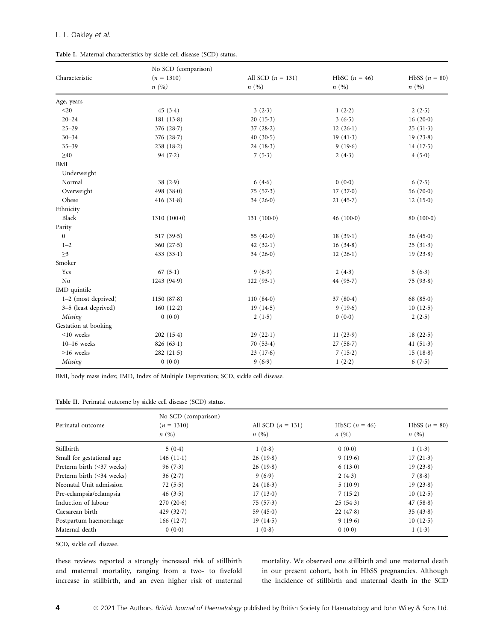## L. L. Oakley et al.

| Table I. Maternal characteristics by sickle cell disease (SCD) status. |  |
|------------------------------------------------------------------------|--|
|------------------------------------------------------------------------|--|

|                       | No SCD (comparison)  | All SCD $(n = 131)$<br>n(%) | HbSC $(n = 46)$<br>n(%) | HbSS $(n = 80)$<br>n(%) |
|-----------------------|----------------------|-----------------------------|-------------------------|-------------------------|
| Characteristic        | $(n = 1310)$<br>n(%) |                             |                         |                         |
|                       |                      |                             |                         |                         |
| $20$                  | 45(3.4)              | 3(2.3)                      | 1(2.2)                  | 2(2.5)                  |
| $20 - 24$             | 181(13.8)            | 20(15.3)                    | 3(6.5)                  | 16(20.0)                |
| $25 - 29$             | 376 (28.7)           | 37(28.2)                    | 12(26.1)                | 25(31.3)                |
| $30 - 34$             | 376 (28.7)           | 40(30.5)                    | 19 $(41.3)$             | 19(23.8)                |
| $35 - 39$             | 238(18.2)            | 24(18.3)                    | 9(19.6)                 | 14(17.5)                |
| $\geq 40$             | 94 $(7.2)$           | 7(5.3)                      | 2(4.3)                  | 4(5.0)                  |
| $\operatorname{BMI}$  |                      |                             |                         |                         |
| Underweight           |                      |                             |                         |                         |
| Normal                | 38(2.9)              | 6(4.6)                      | 0(0.0)                  | 6(7.5)                  |
| Overweight            | 498 $(38.0)$         | 75(57.3)                    | 17(37.0)                | 56 (70.0)               |
| Obese                 | 416 $(31.8)$         | 34 $(26.0)$                 | 21(45.7)                | 12(15.0)                |
| Ethnicity             |                      |                             |                         |                         |
| Black                 | 1310(1000)           | $131(100-0)$                | 46 $(100-0)$            | 80(100.0)               |
| Parity                |                      |                             |                         |                         |
| $\mathbf{0}$          | 517(39.5)            | 55 $(42.0)$                 | 18(39.1)                | 36(45.0)                |
| $1 - 2$               | 360(27.5)            | 42 $(32.1)$                 | 16(34.8)                | 25(31.3)                |
| $\geq$ 3              | 433(33.1)            | 34(26.0)                    | 12(26.1)                | 19(23.8)                |
| Smoker                |                      |                             |                         |                         |
| Yes                   | 67 $(5.1)$           | 9(6.9)                      | 2(4.3)                  | 5(6.3)                  |
| No                    | 1243 (94.9)          | 122(93.1)                   | 44 $(95.7)$             | 75(93.8)                |
| IMD quintile          |                      |                             |                         |                         |
| $1-2$ (most deprived) | 1150 $(87.8)$        | 110(840)                    | 37(80.4)                | 68 $(85.0)$             |
| 3-5 (least deprived)  | 160(12.2)            | 19(14.5)                    | 9(19.6)                 | 10(12.5)                |
| Missing               | 0(0.0)               | 2(1.5)                      | 0(0.0)                  | 2(2.5)                  |
| Gestation at booking  |                      |                             |                         |                         |
| $<$ 10 weeks          | 202(15.4)            | 29(22.1)                    | 11(23.9)                | 18(22.5)                |
| $10-16$ weeks         | 826(63.1)            | 70(53.4)                    | 27(58.7)                | 41 $(51.3)$             |
| $>16$ weeks           | 282(21.5)            | 23(17.6)                    | 7(15.2)                 | 15(18.8)                |
| Missing               | 0(0.0)               | 9(6.9)                      | 1(2.2)                  | 6(7.5)                  |

BMI, body mass index; IMD, Index of Multiple Deprivation; SCD, sickle cell disease.

| Table II. Perinatal outcome by sickle cell disease (SCD) status. |  |  |  |
|------------------------------------------------------------------|--|--|--|
|------------------------------------------------------------------|--|--|--|

|                           | No SCD (comparison)  |                             |                         |                         |            |
|---------------------------|----------------------|-----------------------------|-------------------------|-------------------------|------------|
| Perinatal outcome         | $(n = 1310)$<br>n(%) | All SCD $(n = 131)$<br>n(%) | HbSC $(n = 46)$<br>n(%) | HbSS $(n = 80)$<br>n(%) |            |
|                           |                      |                             |                         |                         | Stillbirth |
| Small for gestational age | 146 $(11-1)$         | 26(19.8)                    | 9(19.6)                 | 17(21.3)                |            |
| Preterm birth (<37 weeks) | 96(7.3)              | 26(19.8)                    | 6(13.0)                 | 19(23.8)                |            |
| Preterm birth (<34 weeks) | 36(2.7)              | 9(6.9)                      | 2(4.3)                  | 7(8.8)                  |            |
| Neonatal Unit admission   | 72(5.5)              | 24(18.3)                    | 5(10.9)                 | 19(23.8)                |            |
| Pre-eclampsia/eclampsia   | 46(3.5)              | 17(13.0)                    | 7(15.2)                 | 10(12.5)                |            |
| Induction of labour       | 270(20.6)            | 75(57.3)                    | 25(54.3)                | 47(58.8)                |            |
| Caesarean birth           | 429 $(32.7)$         | 59 $(45.0)$                 | 22(47.8)                | 35(43.8)                |            |
| Postpartum haemorrhage    | 166(12.7)            | 19(14.5)                    | 9(19.6)                 | 10(12.5)                |            |
| Maternal death            | 0(0.0)               | 1(0.8)                      | 0(0.0)                  | 1(1.3)                  |            |

SCD, sickle cell disease.

these reviews reported a strongly increased risk of stillbirth and maternal mortality, ranging from a two- to fivefold increase in stillbirth, and an even higher risk of maternal

mortality. We observed one stillbirth and one maternal death in our present cohort, both in HbSS pregnancies. Although the incidence of stillbirth and maternal death in the SCD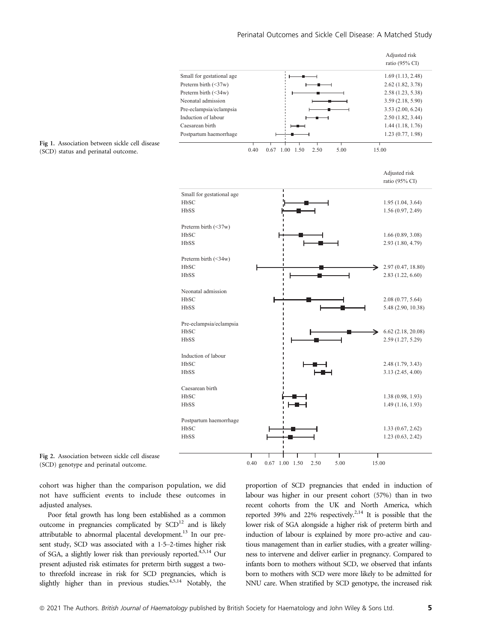

Fig 2. Association between sickle cell disease (SCD) genotype and perinatal outcome.

cohort was higher than the comparison population, we did not have sufficient events to include these outcomes in adjusted analyses.

Poor fetal growth has long been established as a common outcome in pregnancies complicated by  $SCD<sup>12</sup>$  and is likely attributable to abnormal placental development.<sup>13</sup> In our present study, SCD was associated with a 1.5–2-times higher risk of SGA, a slightly lower risk than previously reported.<sup>4,5,14</sup> Our present adjusted risk estimates for preterm birth suggest a twoto threefold increase in risk for SCD pregnancies, which is slightly higher than in previous studies. $4,5,14$  Notably, the proportion of SCD pregnancies that ended in induction of labour was higher in our present cohort (57%) than in two recent cohorts from the UK and North America, which reported 39% and 22% respectively.2,14 It is possible that the lower risk of SGA alongside a higher risk of preterm birth and induction of labour is explained by more pro-active and cautious management than in earlier studies, with a greater willingness to intervene and deliver earlier in pregnancy. Compared to infants born to mothers without SCD, we observed that infants born to mothers with SCD were more likely to be admitted for NNU care. When stratified by SCD genotype, the increased risk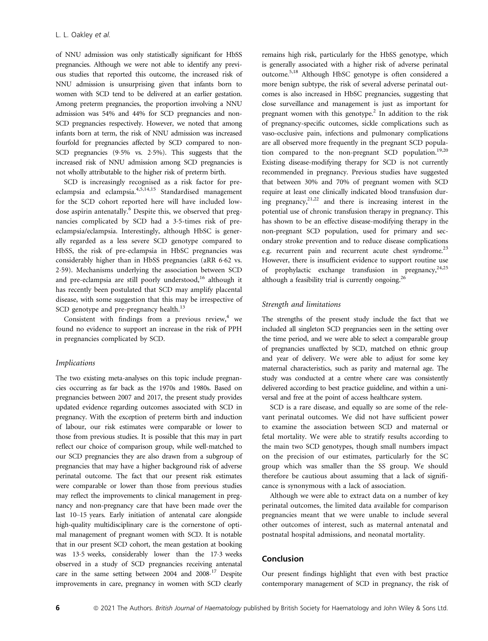of NNU admission was only statistically significant for HbSS pregnancies. Although we were not able to identify any previous studies that reported this outcome, the increased risk of NNU admission is unsurprising given that infants born to women with SCD tend to be delivered at an earlier gestation. Among preterm pregnancies, the proportion involving a NNU admission was 54% and 44% for SCD pregnancies and non-SCD pregnancies respectively. However, we noted that among infants born at term, the risk of NNU admission was increased fourfold for pregnancies affected by SCD compared to non-SCD pregnancies (95% vs. 25%). This suggests that the increased risk of NNU admission among SCD pregnancies is not wholly attributable to the higher risk of preterm birth.

SCD is increasingly recognised as a risk factor for preeclampsia and eclampsia.4,5,14,15 Standardised management for the SCD cohort reported here will have included lowdose aspirin antenatally.<sup>6</sup> Despite this, we observed that pregnancies complicated by SCD had a 35-times risk of preeclampsia/eclampsia. Interestingly, although HbSC is generally regarded as a less severe SCD genotype compared to HbSS, the risk of pre-eclampsia in HbSC pregnancies was considerably higher than in HbSS pregnancies (aRR 662 vs. 259). Mechanisms underlying the association between SCD and pre-eclampsia are still poorly understood,<sup>16</sup> although it has recently been postulated that SCD may amplify placental disease, with some suggestion that this may be irrespective of SCD genotype and pre-pregnancy health.<sup>13</sup>

Consistent with findings from a previous review, $4$  we found no evidence to support an increase in the risk of PPH in pregnancies complicated by SCD.

## Implications

The two existing meta-analyses on this topic include pregnancies occurring as far back as the 1970s and 1980s. Based on pregnancies between 2007 and 2017, the present study provides updated evidence regarding outcomes associated with SCD in pregnancy. With the exception of preterm birth and induction of labour, our risk estimates were comparable or lower to those from previous studies. It is possible that this may in part reflect our choice of comparison group, while well-matched to our SCD pregnancies they are also drawn from a subgroup of pregnancies that may have a higher background risk of adverse perinatal outcome. The fact that our present risk estimates were comparable or lower than those from previous studies may reflect the improvements to clinical management in pregnancy and non-pregnancy care that have been made over the last 10–15 years. Early initiation of antenatal care alongside high-quality multidisciplinary care is the cornerstone of optimal management of pregnant women with SCD. It is notable that in our present SCD cohort, the mean gestation at booking was 135 weeks, considerably lower than the 173 weeks observed in a study of SCD pregnancies receiving antenatal care in the same setting between 2004 and 2008 <sup>17</sup> Despite improvements in care, pregnancy in women with SCD clearly remains high risk, particularly for the HbSS genotype, which is generally associated with a higher risk of adverse perinatal outcome.5,18 Although HbSC genotype is often considered a more benign subtype, the risk of several adverse perinatal outcomes is also increased in HbSC pregnancies, suggesting that close surveillance and management is just as important for pregnant women with this genotype.<sup>2</sup> In addition to the risk of pregnancy-specific outcomes, sickle complications such as vaso-occlusive pain, infections and pulmonary complications are all observed more frequently in the pregnant SCD population compared to the non-pregnant SCD population.<sup>19,20</sup> Existing disease-modifying therapy for SCD is not currently recommended in pregnancy. Previous studies have suggested that between 30% and 70% of pregnant women with SCD require at least one clinically indicated blood transfusion during pregnancy,  $2^{1,22}$  and there is increasing interest in the potential use of chronic transfusion therapy in pregnancy. This has shown to be an effective disease-modifying therapy in the non-pregnant SCD population, used for primary and secondary stroke prevention and to reduce disease complications e.g. recurrent pain and recurrent acute chest syndrome.<sup>23</sup> However, there is insufficient evidence to support routine use of prophylactic exchange transfusion in pregnancy,  $24,25$ although a feasibility trial is currently ongoing.26

## Strength and limitations

The strengths of the present study include the fact that we included all singleton SCD pregnancies seen in the setting over the time period, and we were able to select a comparable group of pregnancies unaffected by SCD, matched on ethnic group and year of delivery. We were able to adjust for some key maternal characteristics, such as parity and maternal age. The study was conducted at a centre where care was consistently delivered according to best practice guideline, and within a universal and free at the point of access healthcare system.

SCD is a rare disease, and equally so are some of the relevant perinatal outcomes. We did not have sufficient power to examine the association between SCD and maternal or fetal mortality. We were able to stratify results according to the main two SCD genotypes, though small numbers impact on the precision of our estimates, particularly for the SC group which was smaller than the SS group. We should therefore be cautious about assuming that a lack of significance is synonymous with a lack of association.

Although we were able to extract data on a number of key perinatal outcomes, the limited data available for comparison pregnancies meant that we were unable to include several other outcomes of interest, such as maternal antenatal and postnatal hospital admissions, and neonatal mortality.

#### Conclusion

Our present findings highlight that even with best practice contemporary management of SCD in pregnancy, the risk of